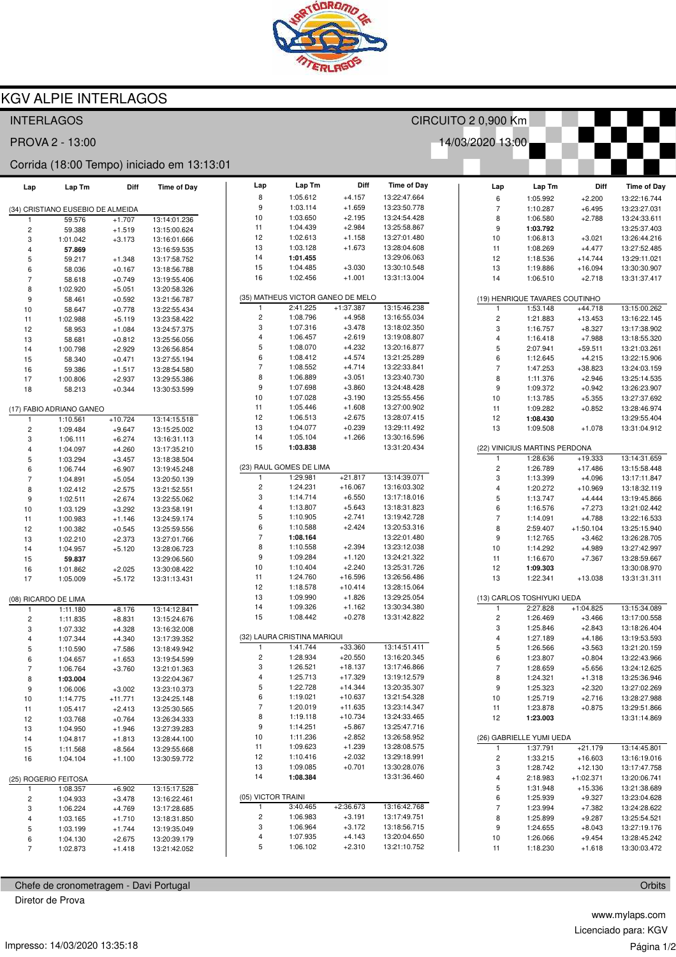

## **KGV ALPIE INTERLAGOS**

| <b>INTERLAGOS</b>                          |                                   |           |                    | CIRCUITO 2 0,900 Km |                |                                   |              |                    |   |                          |                                |              |                    |
|--------------------------------------------|-----------------------------------|-----------|--------------------|---------------------|----------------|-----------------------------------|--------------|--------------------|---|--------------------------|--------------------------------|--------------|--------------------|
| PROVA 2 - 13:00<br>14/03/2020 13:00        |                                   |           |                    |                     |                |                                   |              |                    |   |                          |                                |              |                    |
| Corrida (18:00 Tempo) iniciado em 13:13:01 |                                   |           |                    |                     |                |                                   |              |                    |   |                          |                                |              |                    |
| Lap                                        | Lap Tm                            | Diff      | <b>Time of Day</b> |                     | Lap            | Lap Tm                            | Diff         | <b>Time of Day</b> |   | Lap                      | Lap Tm                         | Diff         | <b>Time of Day</b> |
|                                            |                                   |           |                    |                     | 8              | 1:05.612                          | $+4.157$     | 13:22:47.664       |   | 6                        | 1:05.992                       | $+2.200$     | 13:22:16.744       |
|                                            | (34) CRISTIANO EUSEBIO DE ALMEIDA |           |                    |                     | 9              | 1:03.114                          | $+1.659$     | 13:23:50.778       |   | $\overline{\phantom{a}}$ | 1:10.287                       | $+6.495$     | 13:23:27.031       |
| 1                                          | 59.576                            | $+1.707$  | 13:14:01.236       | 10                  |                | 1:03.650                          | $+2.195$     | 13:24:54.428       |   | 8                        | 1:06.580                       | $+2.788$     | 13:24:33.611       |
| $\overline{c}$                             | 59.388                            | $+1.519$  | 13:15:00.624       | 11                  |                | 1:04.439                          | $+2.984$     | 13:25:58.867       |   | 9                        | 1:03.792                       |              | 13:25:37.403       |
| 3                                          | 1:01.042                          | $+3.173$  | 13:16:01.666       | 12                  |                | 1:02.613                          | $+1.158$     | 13:27:01.480       |   | 10                       | 1:06.813                       | $+3.021$     | 13:26:44.216       |
| $\overline{4}$                             | 57.869                            |           | 13:16:59.535       | 13                  |                | 1:03.128                          | $+1.673$     | 13:28:04.608       |   | 11                       | 1:08.269                       | $+4.477$     | 13:27:52.485       |
| 5                                          | 59.217                            | $+1.348$  | 13:17:58.752       | 14                  |                | 1:01.455                          |              | 13:29:06.063       |   | 12                       | 1:18.536                       | $+14.744$    | 13:29:11.021       |
| 6                                          | 58.036                            | $+0.167$  | 13:18:56.788       | 15                  |                | 1:04.485                          | $+3.030$     | 13:30:10.548       |   | 13                       | 1:19.886                       | $+16.094$    | 13:30:30.907       |
| $\overline{7}$                             | 58.618                            | $+0.749$  | 13:19:55.406       | 16                  |                | 1:02.456                          | $+1.001$     | 13:31:13.004       |   | 14                       | 1:06.510                       | $+2.718$     | 13:31:37.417       |
| 8                                          | 1:02.920                          | $+5.051$  | 13:20:58.326       |                     |                |                                   |              |                    |   |                          |                                |              |                    |
| 9                                          | 58.461                            | $+0.592$  | 13:21:56.787       |                     |                | (35) MATHEUS VICTOR GANEO DE MELO |              |                    |   |                          | (19) HENRIQUE TAVARES COUTINHO |              |                    |
| 10                                         | 58.647                            | $+0.778$  | 13:22:55.434       |                     | $\mathbf{1}$   | 2:41.225                          | $+1:37.387$  | 13:15:46.238       |   | $\mathbf{1}$             | 1:53.148                       | $+44.718$    | 13:15:00.262       |
| 11                                         | 1:02.988                          | $+5.119$  | 13:23:58.422       |                     | $\sqrt{2}$     | 1:08.796                          | $+4.958$     | 13:16:55.034       |   |                          | 1:21.883                       | $+13.453$    | 13:16:22.145       |
| 12                                         | 58.953                            | $+1.084$  | 13:24:57.375       |                     | 3              | 1:07.316                          | $+3.478$     | 13:18:02.350       |   | 3                        | 1:16.757                       | $+8.327$     | 13:17:38.902       |
| 13                                         | 58.681                            | $+0.812$  | 13:25:56.056       |                     | $\overline{4}$ | 1:06.457                          | $+2.619$     | 13:19:08.807       |   | 4                        | 1:16.418                       | $+7.988$     | 13:18:55.320       |
| 14                                         | 1:00.798                          | $+2.929$  | 13:26:56.854       |                     | 5              | 1:08.070                          | $+4.232$     | 13:20:16.877       |   | 5                        | 2:07.941                       | $+59.511$    | 13:21:03.261       |
| 15                                         | 58.340                            | $+0.471$  | 13:27:55.194       |                     | 6              | 1:08.412                          | $+4.574$     | 13:21:25.289       |   | 6                        | 1:12.645                       | $+4.215$     | 13:22:15.906       |
| 16                                         | 59.386                            | $+1.517$  | 13:28:54.580       |                     | $\overline{7}$ | 1:08.552                          | $+4.714$     | 13:22:33.841       |   | $\overline{\phantom{a}}$ | 1:47.253                       | $+38.823$    | 13:24:03.159       |
| 17                                         | 1:00.806                          | $+2.937$  | 13:29:55.386       |                     | 8              | 1:06.889                          | $+3.051$     | 13:23:40.730       |   | 8                        | 1:11.376                       | $+2.946$     | 13:25:14.535       |
| 18                                         | 58.213                            | $+0.344$  | 13:30:53.599       |                     | 9              | 1:07.698                          | $+3.860$     | 13:24:48.428       |   | 9                        | 1:09.372                       | $+0.942$     | 13:26:23.907       |
|                                            |                                   |           |                    | 10                  |                | 1:07.028                          | $+3.190$     | 13:25:55.456       |   | 10                       | 1:13.785                       | $+5.355$     | 13:27:37.692       |
|                                            | (17) FABIO ADRIANO GANEO          |           |                    | 11                  |                | 1:05.446                          | $+1.608$     | 13:27:00.902       |   | 11                       | 1:09.282                       | $+0.852$     | 13:28:46.974       |
| $\mathbf{1}$                               | 1:10.561                          | $+10.724$ | 13:14:15.518       | 12                  |                | 1:06.513                          | $+2.675$     | 13:28:07.415       |   | 12                       | 1:08.430                       |              | 13:29:55.404       |
| $\overline{\mathbf{c}}$                    | 1:09.484                          | $+9.647$  | 13:15:25.002       | 13                  |                | 1:04.077                          | $+0.239$     | 13:29:11.492       |   | 13                       | 1:09.508                       | $+1.078$     | 13:31:04.912       |
| 3                                          | 1:06.111                          | $+6.274$  | 13:16:31.113       | 14                  |                | 1:05.104                          | $+1.266$     | 13:30:16.596       |   |                          |                                |              |                    |
| 4                                          | 1:04.097                          | $+4.260$  | 13:17:35.210       | 15                  |                | 1:03.838                          |              | 13:31:20.434       |   |                          | (22) VINICIUS MARTINS PERDONA  |              |                    |
| 5                                          | 1:03.294                          | $+3.457$  | 13:18:38.504       |                     |                |                                   |              |                    |   | $\mathbf{1}$             | 1:28.636                       | $+19.333$    | 13:14:31.659       |
| 6                                          | 1:06.744                          | $+6.907$  | 13:19:45.248       |                     |                | (23) RAUL GOMES DE LIMA           |              |                    |   | 2                        | 1:26.789                       | $+17.486$    | 13:15:58.448       |
| $\overline{7}$                             | 1:04.891                          | $+5.054$  | 13:20:50.139       |                     | 1              | 1:29.981                          | $+21.817$    | 13:14:39.071       |   | 3                        | 1:13.399                       | $+4.096$     | 13:17:11.847       |
| 8                                          | 1:02.412                          | $+2.575$  | 13:21:52.551       |                     | $\overline{c}$ | 1:24.231                          | $+16.067$    | 13:16:03.302       |   | 4                        | 1:20.272                       | $+10.969$    | 13:18:32.119       |
| 9                                          | 1:02.511                          | $+2.674$  | 13:22:55.062       |                     | 3              | 1:14.714                          | $+6.550$     | 13:17:18.016       |   | 5                        | 1:13.747                       | $+4.444$     | 13:19:45.866       |
| 10                                         | 1:03.129                          | $+3.292$  | 13:23:58.191       |                     | 4              | 1:13.807                          | $+5.643$     | 13:18:31.823       |   | 6                        | 1:16.576                       | $+7.273$     | 13:21:02.442       |
| 11                                         | 1:00.983                          | $+1.146$  | 13:24:59.174       |                     | 5              | 1:10.905                          | $+2.741$     | 13:19:42.728       |   | $\overline{\mathcal{I}}$ | 1:14.091                       | $+4.788$     | 13:22:16.533       |
| 12                                         | 1:00.382                          | $+0.545$  | 13:25:59.556       |                     | 6              | 1:10.588                          | $+2.424$     | 13:20:53.316       |   | 8                        | 2:59.407                       | $+1:50.104$  | 13:25:15.940       |
| 13                                         | 1:02.210                          | $+2.373$  | 13:27:01.766       |                     | $\overline{7}$ | 1:08.164                          |              | 13:22:01.480       |   | 9                        | 1:12.765                       | $+3.462$     | 13:26:28.705       |
| 14                                         | 1:04.957                          | $+5.120$  | 13:28:06.723       |                     | 8              | 1:10.558                          | $+2.394$     | 13:23:12.038       |   | 10                       | 1:14.292                       | $+4.989$     | 13:27:42.997       |
| 15                                         | 59.837                            |           | 13:29:06.560       |                     | 9              | 1:09.284                          | $+1.120$     | 13:24:21.322       |   | 11                       | 1:16.670                       | $+7.367$     | 13:28:59.667       |
| 16                                         | 1:01.862                          | $+2.025$  | 13:30:08.422       | 10                  |                | 1:10.404                          | $+2.240$     | 13:25:31.726       |   | 12                       | 1:09.303                       |              | 13:30:08.970       |
| 17                                         | 1:05.009                          | $+5.172$  | 13:31:13.431       | 11                  |                | 1:24.760                          | $+16.596$    | 13:26:56.486       |   | 13                       | 1:22.341                       | $+13.038$    | 13:31:31.311       |
|                                            |                                   |           |                    | 12                  |                | 1:18.578                          | $+10.414$    | 13:28:15.064       |   |                          |                                |              |                    |
|                                            | (08) RICARDO DE LIMA              |           |                    | 13                  |                | 1:09.990                          | $+1.826$     | 13:29:25.054       |   |                          | (13) CARLOS TOSHIYUKI UEDA     |              |                    |
| $\mathbf{1}$                               | 1:11.180                          | $+8.176$  | 13:14:12.841       | 14                  |                | 1:09.326                          | $+1.162$     | 13:30:34.380       |   | 1                        | 2:27.828                       | $+1:04.825$  | 13:15:34.089       |
| $\overline{c}$                             | 1:11.835                          | $+8.831$  | 13:15:24.676       | 15                  |                | 1:08.442                          | $+0.278$     | 13:31:42.822       |   | $\overline{c}$           | 1:26.469                       | $+3.466$     | 13:17:00.558       |
| 3                                          | 1:07.332                          | $+4.328$  | 13:16:32.008       |                     |                |                                   |              |                    |   | 3                        | 1:25.846                       | $+2.843$     | 13:18:26.404       |
| $\overline{4}$                             | 1:07.344                          | $+4.340$  | 13:17:39.352       |                     |                | (32) LAURA CRISTINA MARIQUI       |              |                    |   | 4                        | 1:27.189                       | $+4.186$     | 13:19:53.593       |
| 5                                          | 1:10.590                          | $+7.586$  | 13:18:49.942       |                     |                | 1:41.744                          | $+33.360$    | 13:14:51.411       |   | 5                        | 1:26.566                       | $+3.563$     | 13:21:20.159       |
| 6                                          | 1:04.657                          | $+1.653$  | 13:19:54.599       |                     | $\sqrt{2}$     | 1:28.934                          | $+20.550$    | 13:16:20.345       |   | 6                        | 1:23.807                       | $+0.804$     | 13:22:43.966       |
| 7                                          | 1:06.764                          | $+3.760$  | 13:21:01.363       |                     | 3              | 1:26.521                          | $+18.137$    | 13:17:46.866       |   | 7                        | 1:28.659                       | $+5.656$     | 13:24:12.625       |
| 8                                          | 1:03.004                          |           | 13:22:04.367       |                     | 4              | 1:25.713                          | $+17.329$    | 13:19:12.579       |   | 8                        | 1:24.321                       | $+1.318$     | 13:25:36.946       |
| 9                                          | 1:06.006                          | $+3.002$  | 13:23:10.373       |                     | 5              | 1:22.728                          | $+14.344$    | 13:20:35.307       |   | 9                        | 1:25.323                       | $+2.320$     | 13:27:02.269       |
| 10                                         | 1:14.775                          | $+11.771$ | 13:24:25.148       |                     | 6              | 1:19.021                          | $+10.637$    | 13:21:54.328       |   | 10                       | 1:25.719                       | $+2.716$     | 13:28:27.988       |
| 11                                         | 1:05.417                          | $+2.413$  | 13:25:30.565       |                     | $\overline{7}$ | 1:20.019                          | $+11.635$    | 13:23:14.347       |   | 11                       | 1:23.878                       | $+0.875$     | 13:29:51.866       |
| 12                                         | 1:03.768                          | $+0.764$  | 13:26:34.333       |                     | 8              | 1:19.118                          | $+10.734$    | 13:24:33.465       |   | 12                       | 1:23.003                       |              | 13:31:14.869       |
| 13                                         | 1:04.950                          | $+1.946$  | 13:27:39.283       |                     | 9              | 1:14.251                          | $+5.867$     | 13:25:47.716       |   |                          |                                |              |                    |
| 14                                         | 1:04.817                          | $+1.813$  | 13:28:44.100       | 10                  |                | 1:11.236                          | $+2.852$     | 13:26:58.952       |   |                          | (26) GABRIELLE YUMI UEDA       |              |                    |
| 15                                         | 1:11.568                          | $+8.564$  | 13:29:55.668       | 11                  |                | 1:09.623                          | $+1.239$     | 13:28:08.575       |   | 1                        | 1:37.791                       | $+21.179$    | 13:14:45.801       |
| 16                                         | 1:04.104                          | $+1.100$  | 13:30:59.772       | 12                  |                | 1:10.416                          | $+2.032$     | 13:29:18.991       |   | $\overline{\mathbf{c}}$  | 1:33.215                       | $+16.603$    | 13:16:19.016       |
|                                            |                                   |           |                    | 13                  |                | 1:09.085                          | $+0.701$     | 13:30:28.076       |   | 3                        | 1:28.742                       | $+12.130$    | 13:17:47.758       |
| (25) ROGERIO FEITOSA                       |                                   |           | 14                 |                     | 1:08.384       |                                   | 13:31:36.460 |                    | 4 | 2:18.983                 | $+1:02.371$                    | 13:20:06.741 |                    |
| 1                                          | 1:08.357                          | $+6.902$  | 13:15:17.528       |                     |                |                                   |              |                    |   | 5                        | 1:31.948                       | $+15.336$    | 13:21:38.689       |
| $\overline{c}$                             | 1:04.933                          | $+3.478$  | 13:16:22.461       |                     |                | (05) VICTOR TRAINI                |              |                    |   | 6                        | 1:25.939                       | $+9.327$     | 13:23:04.628       |
| 3                                          | 1:06.224                          | $+4.769$  | 13:17:28.685       |                     | $\mathbf{1}$   | 3:40.465                          | $+2:36.673$  | 13:16:42.768       |   | $\overline{\mathcal{I}}$ | 1:23.994                       | $+7.382$     | 13:24:28.622       |
| 4                                          | 1:03.165                          | $+1.710$  | 13:18:31.850       |                     | $\sqrt{2}$     | 1:06.983                          | $+3.191$     | 13:17:49.751       |   | 8                        | 1:25.899                       | $+9.287$     | 13:25:54.521       |
| $\,$ 5 $\,$                                | 1:03.199                          | $+1.744$  | 13:19:35.049       |                     | 3              | 1:06.964                          | $+3.172$     | 13:18:56.715       |   | 9                        | 1:24.655                       | $+8.043$     | 13:27:19.176       |
| 6                                          | 1:04.130                          | $+2.675$  | 13:20:39.179       |                     | 4              | 1:07.935                          | $+4.143$     | 13:20:04.650       |   | 10                       | 1:26.066                       | $+9.454$     | 13:28:45.242       |
| $\overline{7}$                             | 1:02.873                          | $+1.418$  | 13:21:42.052       |                     | 5              | 1:06.102                          | $+2.310$     | 13:21:10.752       |   | 11                       | 1:18.230                       | $+1.618$     | 13:30:03.472       |

Chefe de cronometragem - Davi Portugal

Diretor de Prova

www.mylaps.com Licenciado para: KGV Página 1/2

Orbits